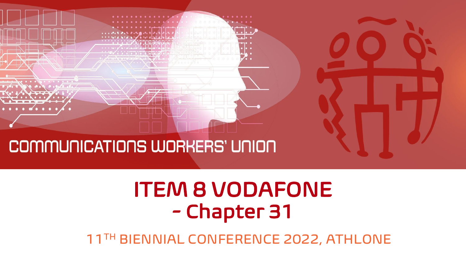

### ITEM 8 VODAFONE - Chapter 31

11TH BIENNIAL CONFERENCE 2022, ATHLONE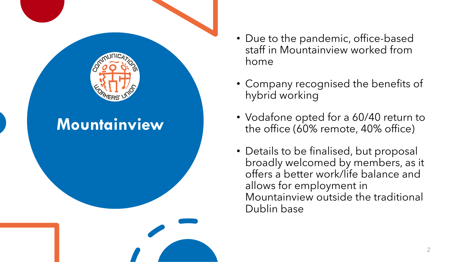

- Due to the pandemic, office-based staff in Mountainview worked from home
- Company recognised the benefits of hybrid working
- Vodafone opted for a 60/40 return to the office (60% remote, 40% office)
- Details to be finalised, but proposal broadly welcomed by members, as it offers a better work/life balance and allows for employment in Mountainview outside the traditional Dublin base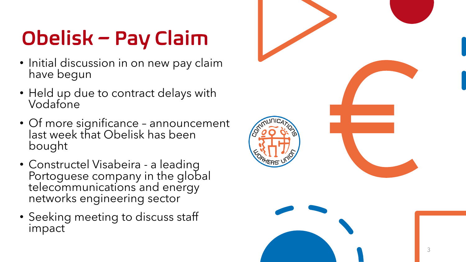# Obelisk – Pay Claim

- Initial discussion in on new pay claim have begun
- Held up due to contract delays with Vodafone
- Of more significance announcement last week that Obelisk has been bought
- Constructel Visabeira a leading Portoguese company in the global telecommunications and energy networks engineering sector
- Seeking meeting to discuss staff impact

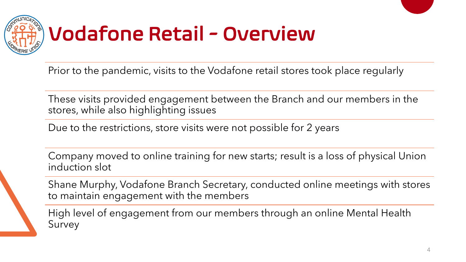

Prior to the pandemic, visits to the Vodafone retail stores took place regularly

These visits provided engagement between the Branch and our members in the stores, while also highlighting issues

Due to the restrictions, store visits were not possible for 2 years

Company moved to online training for new starts; result is a loss of physical Union induction slot

Shane Murphy, Vodafone Branch Secretary, conducted online meetings with stores to maintain engagement with the members

High level of engagement from our members through an online Mental Health Survey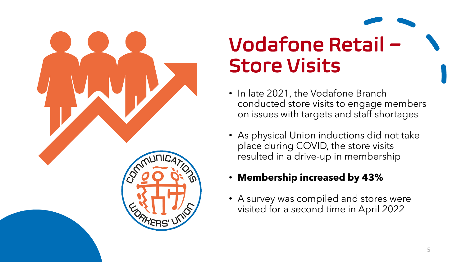

# Vodafone Retail – Store Visits

- In late 2021, the Vodafone Branch conducted store visits to engage members on issues with targets and staff shortages
- As physical Union inductions did not take place during COVID, the store visits resulted in a drive-up in membership
- **Membership increased by 43%**
- A survey was compiled and stores were visited for a second time in April 2022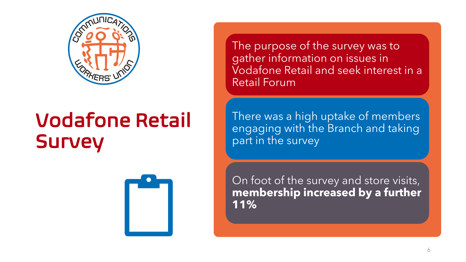

## Vodafone Retail **Survey**



The purpose of the survey was to gather information on issues in Vodafone Retail and seek interest in a Retail Forum

There was a high uptake of members engaging with the Branch and taking part in the survey

On foot of the survey and store visits, **membership increased by a further 11%**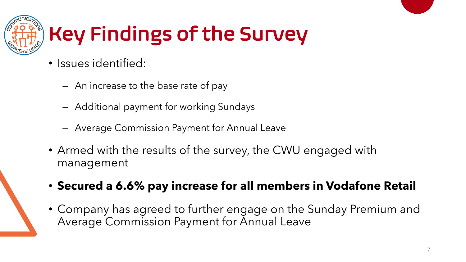

# Key Findings of the Survey

- Issues identified:
	- An increase to the base rate of pay
	- Additional payment for working Sundays
	- Average Commission Payment for Annual Leave
- Armed with the results of the survey, the CWU engaged with management
- **Secured a 6.6% pay increase for all members in Vodafone Retail**
- Company has agreed to further engage on the Sunday Premium and Average Commission Payment for Annual Leave